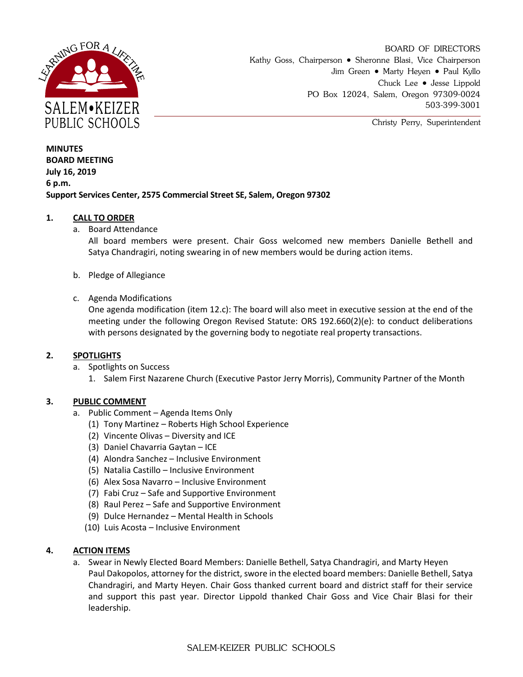

BOARD OF DIRECTORS Kathy Goss, Chairperson • Sheronne Blasi, Vice Chairperson Jim Green • Marty Heyen • Paul Kyllo Chuck Lee • Jesse Lippold PO Box 12024, Salem, Oregon 97309-0024 503-399-3001

Christy Perry, Superintendent

**MINUTES BOARD MEETING July 16, 2019 6 p.m. Support Services Center, 2575 Commercial Street SE, Salem, Oregon 97302**

## **1. CALL TO ORDER**

a. Board Attendance

All board members were present. Chair Goss welcomed new members Danielle Bethell and Satya Chandragiri, noting swearing in of new members would be during action items.

- b. Pledge of Allegiance
- c. Agenda Modifications

One agenda modification (item 12.c): The board will also meet in executive session at the end of the meeting under the following Oregon Revised Statute: ORS 192.660(2)(e): to conduct deliberations with persons designated by the governing body to negotiate real property transactions.

### **2. SPOTLIGHTS**

- a. Spotlights on Success
	- 1. Salem First Nazarene Church (Executive Pastor Jerry Morris), Community Partner of the Month

### **3. PUBLIC COMMENT**

- a. Public Comment Agenda Items Only
	- (1) Tony Martinez Roberts High School Experience
	- (2) Vincente Olivas Diversity and ICE
	- (3) Daniel Chavarria Gaytan ICE
	- (4) Alondra Sanchez Inclusive Environment
	- (5) Natalia Castillo Inclusive Environment
	- (6) Alex Sosa Navarro Inclusive Environment
	- (7) Fabi Cruz Safe and Supportive Environment
	- (8) Raul Perez Safe and Supportive Environment
	- (9) Dulce Hernandez Mental Health in Schools
	- (10) Luis Acosta Inclusive Environment

### **4. ACTION ITEMS**

a. Swear in Newly Elected Board Members: Danielle Bethell, Satya Chandragiri, and Marty Heyen Paul Dakopolos, attorney for the district, swore in the elected board members: Danielle Bethell, Satya Chandragiri, and Marty Heyen. Chair Goss thanked current board and district staff for their service and support this past year. Director Lippold thanked Chair Goss and Vice Chair Blasi for their leadership.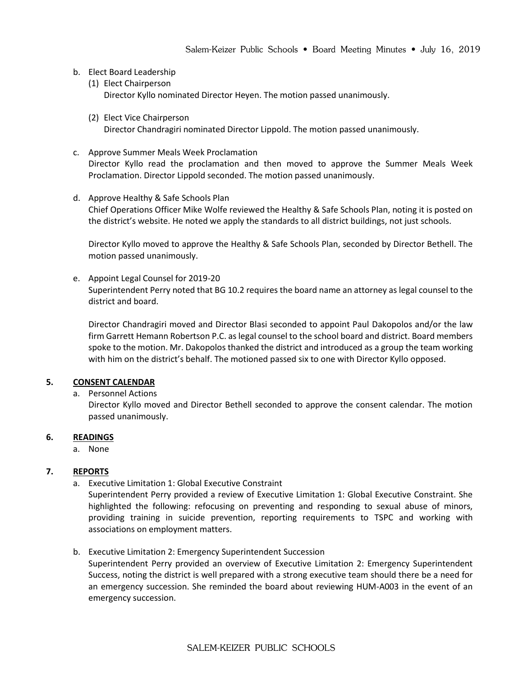- b. Elect Board Leadership
	- (1) Elect Chairperson Director Kyllo nominated Director Heyen. The motion passed unanimously.
	- (2) Elect Vice Chairperson Director Chandragiri nominated Director Lippold. The motion passed unanimously.
- c. Approve Summer Meals Week Proclamation Director Kyllo read the proclamation and then moved to approve the Summer Meals Week Proclamation. Director Lippold seconded. The motion passed unanimously.
- d. Approve Healthy & Safe Schools Plan Chief Operations Officer Mike Wolfe reviewed the Healthy & Safe Schools Plan, noting it is posted on the district's website. He noted we apply the standards to all district buildings, not just schools.

Director Kyllo moved to approve the Healthy & Safe Schools Plan, seconded by Director Bethell. The motion passed unanimously.

e. Appoint Legal Counsel for 2019-20 Superintendent Perry noted that BG 10.2 requires the board name an attorney as legal counsel to the district and board.

Director Chandragiri moved and Director Blasi seconded to appoint Paul Dakopolos and/or the law firm Garrett Hemann Robertson P.C. as legal counsel to the school board and district. Board members spoke to the motion. Mr. Dakopolos thanked the district and introduced as a group the team working with him on the district's behalf. The motioned passed six to one with Director Kyllo opposed.

# **5. CONSENT CALENDAR**

a. Personnel Actions

Director Kyllo moved and Director Bethell seconded to approve the consent calendar. The motion passed unanimously.

# **6. READINGS**

a. None

# **7. REPORTS**

a. Executive Limitation 1: Global Executive Constraint

Superintendent Perry provided a review of Executive Limitation 1: Global Executive Constraint. She highlighted the following: refocusing on preventing and responding to sexual abuse of minors, providing training in suicide prevention, reporting requirements to TSPC and working with associations on employment matters.

b. Executive Limitation 2: Emergency Superintendent Succession

Superintendent Perry provided an overview of Executive Limitation 2: Emergency Superintendent Success, noting the district is well prepared with a strong executive team should there be a need for an emergency succession. She reminded the board about reviewing HUM-A003 in the event of an emergency succession.